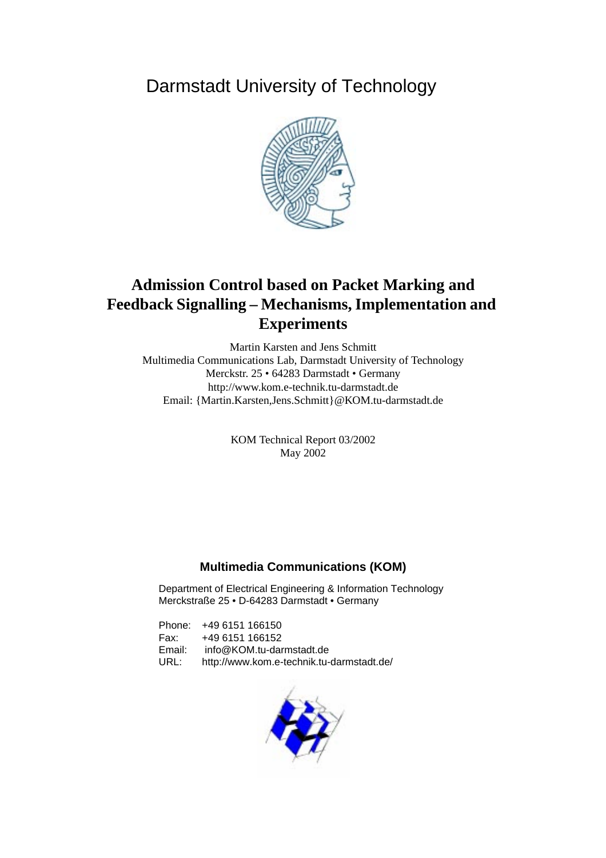Darmstadt University of Technology



# **Admission Control based on Packet Marking and Feedback Signalling – Mechanisms, Implementation and Experiments**

Martin Karsten and Jens Schmitt Multimedia Communications Lab, Darmstadt University of Technology Merckstr. 25 • 64283 Darmstadt • Germany http://www.kom.e-technik.tu-darmstadt.de Email: {Martin.Karsten,Jens.Schmitt}@KOM.tu-darmstadt.de

> KOM Technical Report 03/2002 May 2002

# **Multimedia Communications (KOM)**

Department of Electrical Engineering & Information Technology Merckstraße 25 • D-64283 Darmstadt • Germany

Phone: +49 6151 166150 Fax: +49 6151 166152 Email: info@KOM.tu-darmstadt.de URL: http://www.kom.e-technik.tu-darmstadt.de/

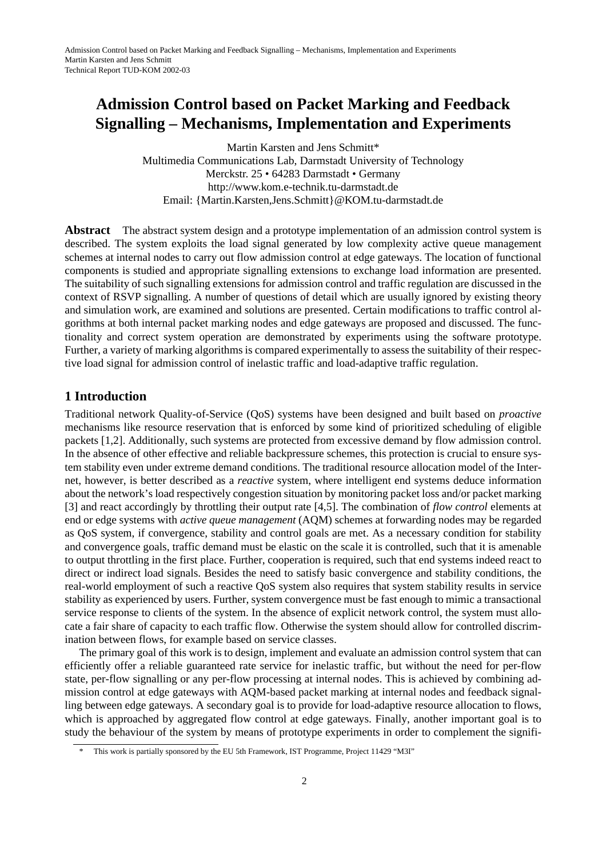# <span id="page-1-0"></span>**Admission Control based on Packet Marking and Feedback Signalling – Mechanisms, Implementation and Experiments**

Martin Karsten and Jens Schmitt\* Multimedia Communications Lab, Darmstadt University of Technology Merckstr. 25 • 64283 Darmstadt • Germany http://www.kom.e-technik.tu-darmstadt.de Email: {Martin.Karsten,Jens.Schmitt}@KOM.tu-darmstadt.de

**Abstract** The abstract system design and a prototype implementation of an admission control system is described. The system exploits the load signal generated by low complexity active queue management schemes at internal nodes to carry out flow admission control at edge gateways. The location of functional components is studied and appropriate signalling extensions to exchange load information are presented. The suitability of such signalling extensions for admission control and traffic regulation are discussed in the context of RSVP signalling. A number of questions of detail which are usually ignored by existing theory and simulation work, are examined and solutions are presented. Certain modifications to traffic control algorithms at both internal packet marking nodes and edge gateways are proposed and discussed. The functionality and correct system operation are demonstrated by experiments using the software prototype. Further, a variety of marking algorithms is compared experimentally to assess the suitability of their respective load signal for admission control of inelastic traffic and load-adaptive traffic regulation.

# **1 Introduction**

Traditional network Quality-of-Service (QoS) systems have been designed and built based on *proactive* mechanisms like resource reservation that is enforced by some kind of prioritized scheduling of eligible packets [1,2]. Additionally, such systems are protected from excessive demand by flow admission control. In the absence of other effective and reliable backpressure schemes, this protection is crucial to ensure system stability even under extreme demand conditions. The traditional resource allocation model of the Internet, however, is better described as a *reactive* system, where intelligent end systems deduce information about the network's load respectively congestion situation by monitoring packet loss and/or packet marking [3] and react accordingly by throttling their output rate [4,5]. The combination of *flow control* elements at end or edge systems with *active queue management* (AQM) schemes at forwarding nodes may be regarded as QoS system, if convergence, stability and control goals are met. As a necessary condition for stability and convergence goals, traffic demand must be elastic on the scale it is controlled, such that it is amenable to output throttling in the first place. Further, cooperation is required, such that end systems indeed react to direct or indirect load signals. Besides the need to satisfy basic convergence and stability conditions, the real-world employment of such a reactive QoS system also requires that system stability results in service stability as experienced by users. Further, system convergence must be fast enough to mimic a transactional service response to clients of the system. In the absence of explicit network control, the system must allocate a fair share of capacity to each traffic flow. Otherwise the system should allow for controlled discrimination between flows, for example based on service classes.

The primary goal of this work is to design, implement and evaluate an admission control system that can efficiently offer a reliable guaranteed rate service for inelastic traffic, but without the need for per-flow state, per-flow signalling or any per-flow processing at internal nodes. This is achieved by combining admission control at edge gateways with AQM-based packet marking at internal nodes and feedback signalling between edge gateways. A secondary goal is to provide for load-adaptive resource allocation to flows, which is approached by aggregated flow control at edge gateways. Finally, another important goal is to study the behaviour of the system by means of prototype experiments in order to complement the signifi-

This work is partially sponsored by the EU 5th Framework, IST Programme, Project 11429 "M3I"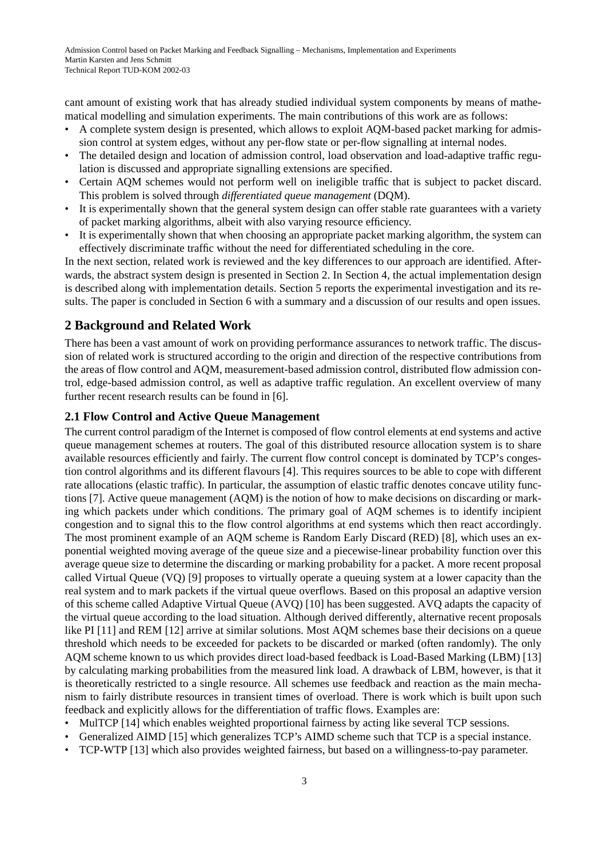cant amount of existing work that has already studied individual system components by means of mathematical modelling and simulation experiments. The main contributions of this work are as follows:

- A complete system design is presented, which allows to exploit AQM-based packet marking for admission control at system edges, without any per-flow state or per-flow signalling at internal nodes.
- The detailed design and location of admission control, load observation and load-adaptive traffic regulation is discussed and appropriate signalling extensions are specified.
- Certain AQM schemes would not perform well on ineligible traffic that is subject to packet discard. This problem is solved through *differentiated queue management* (DQM).
- It is experimentally shown that the general system design can offer stable rate guarantees with a variety of packet marking algorithms, albeit with also varying resource efficiency.
- It is experimentally shown that when choosing an appropriate packet marking algorithm, the system can effectively discriminate traffic without the need for differentiated scheduling in the core.

In the next section, related work is reviewed and the key differences to our approach are identified. Afterwards, the abstract system design is presented in Section 2. In [Section 4](#page-8-0), the actual implementation design is described along with implementation details. [Section 5](#page-10-0) reports the experimental investigation and its results. The paper is concluded in [Section 6](#page-14-0) with a summary and a discussion of our results and open issues.

# **2 Background and Related Work**

There has been a vast amount of work on providing performance assurances to network traffic. The discussion of related work is structured according to the origin and direction of the respective contributions from the areas of flow control and AQM, measurement-based admission control, distributed flow admission control, edge-based admission control, as well as adaptive traffic regulation. An excellent overview of many further recent research results can be found in [6].

# **2.1 Flow Control and Active Queue Management**

The current control paradigm of the Internet is composed of flow control elements at end systems and active queue management schemes at routers. The goal of this distributed resource allocation system is to share available resources efficiently and fairly. The current flow control concept is dominated by TCP's congestion control algorithms and its different flavours [4]. This requires sources to be able to cope with different rate allocations (elastic traffic). In particular, the assumption of elastic traffic denotes concave utility functions [7]. Active queue management (AQM) is the notion of how to make decisions on discarding or marking which packets under which conditions. The primary goal of AQM schemes is to identify incipient congestion and to signal this to the flow control algorithms at end systems which then react accordingly. The most prominent example of an AQM scheme is Random Early Discard (RED) [8], which uses an exponential weighted moving average of the queue size and a piecewise-linear probability function over this average queue size to determine the discarding or marking probability for a packet. A more recent proposal called Virtual Queue (VQ) [9] proposes to virtually operate a queuing system at a lower capacity than the real system and to mark packets if the virtual queue overflows. Based on this proposal an adaptive version of this scheme called Adaptive Virtual Queue (AVQ) [10] has been suggested. AVQ adapts the capacity of the virtual queue according to the load situation. Although derived differently, alternative recent proposals like PI [11] and REM [12] arrive at similar solutions. Most AQM schemes base their decisions on a queue threshold which needs to be exceeded for packets to be discarded or marked (often randomly). The only AQM scheme known to us which provides direct load-based feedback is Load-Based Marking (LBM) [13] by calculating marking probabilities from the measured link load. A drawback of LBM, however, is that it is theoretically restricted to a single resource. All schemes use feedback and reaction as the main mechanism to fairly distribute resources in transient times of overload. There is work which is built upon such feedback and explicitly allows for the differentiation of traffic flows. Examples are:

- MulTCP [14] which enables weighted proportional fairness by acting like several TCP sessions.
- Generalized AIMD [15] which generalizes TCP's AIMD scheme such that TCP is a special instance.
- TCP-WTP [13] which also provides weighted fairness, but based on a willingness-to-pay parameter.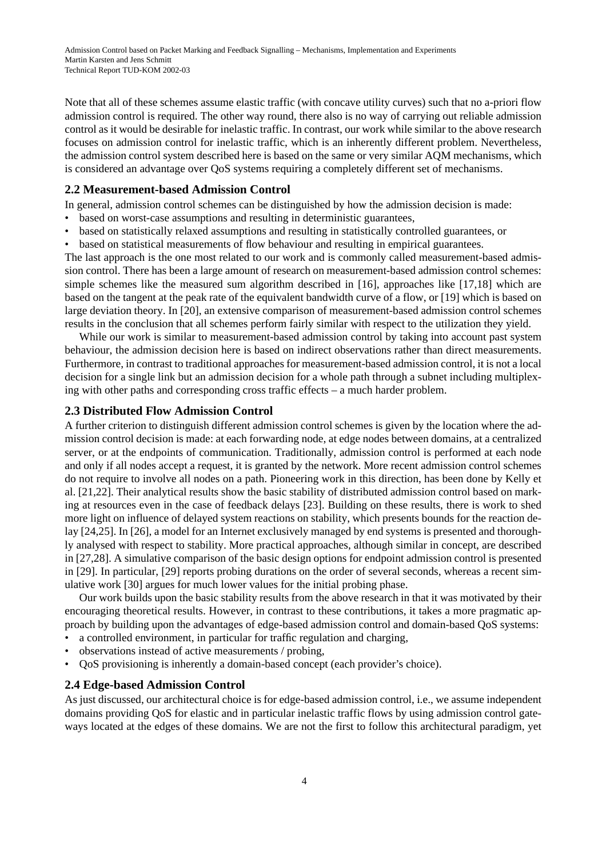Note that all of these schemes assume elastic traffic (with concave utility curves) such that no a-priori flow admission control is required. The other way round, there also is no way of carrying out reliable admission control as it would be desirable for inelastic traffic. In contrast, our work while similar to the above research focuses on admission control for inelastic traffic, which is an inherently different problem. Nevertheless, the admission control system described here is based on the same or very similar AQM mechanisms, which is considered an advantage over QoS systems requiring a completely different set of mechanisms.

#### **2.2 Measurement-based Admission Control**

In general, admission control schemes can be distinguished by how the admission decision is made:

- based on worst-case assumptions and resulting in deterministic guarantees,
- based on statistically relaxed assumptions and resulting in statistically controlled guarantees, or
- based on statistical measurements of flow behaviour and resulting in empirical guarantees.

The last approach is the one most related to our work and is commonly called measurement-based admission control. There has been a large amount of research on measurement-based admission control schemes: simple schemes like the measured sum algorithm described in [16], approaches like [17,18] which are based on the tangent at the peak rate of the equivalent bandwidth curve of a flow, or [19] which is based on large deviation theory. In [20], an extensive comparison of measurement-based admission control schemes results in the conclusion that all schemes perform fairly similar with respect to the utilization they yield.

While our work is similar to measurement-based admission control by taking into account past system behaviour, the admission decision here is based on indirect observations rather than direct measurements. Furthermore, in contrast to traditional approaches for measurement-based admission control, it is not a local decision for a single link but an admission decision for a whole path through a subnet including multiplexing with other paths and corresponding cross traffic effects – a much harder problem.

# **2.3 Distributed Flow Admission Control**

A further criterion to distinguish different admission control schemes is given by the location where the admission control decision is made: at each forwarding node, at edge nodes between domains, at a centralized server, or at the endpoints of communication. Traditionally, admission control is performed at each node and only if all nodes accept a request, it is granted by the network. More recent admission control schemes do not require to involve all nodes on a path. Pioneering work in this direction, has been done by Kelly et al. [21,22]. Their analytical results show the basic stability of distributed admission control based on marking at resources even in the case of feedback delays [23]. Building on these results, there is work to shed more light on influence of delayed system reactions on stability, which presents bounds for the reaction delay [24,25]. In [26], a model for an Internet exclusively managed by end systems is presented and thoroughly analysed with respect to stability. More practical approaches, although similar in concept, are described in [27,28]. A simulative comparison of the basic design options for endpoint admission control is presented in [29]. In particular, [29] reports probing durations on the order of several seconds, whereas a recent simulative work [30] argues for much lower values for the initial probing phase.

Our work builds upon the basic stability results from the above research in that it was motivated by their encouraging theoretical results. However, in contrast to these contributions, it takes a more pragmatic approach by building upon the advantages of edge-based admission control and domain-based QoS systems:

- a controlled environment, in particular for traffic regulation and charging,
- observations instead of active measurements / probing,
- QoS provisioning is inherently a domain-based concept (each provider's choice).

### **2.4 Edge-based Admission Control**

As just discussed, our architectural choice is for edge-based admission control, i.e., we assume independent domains providing QoS for elastic and in particular inelastic traffic flows by using admission control gateways located at the edges of these domains. We are not the first to follow this architectural paradigm, yet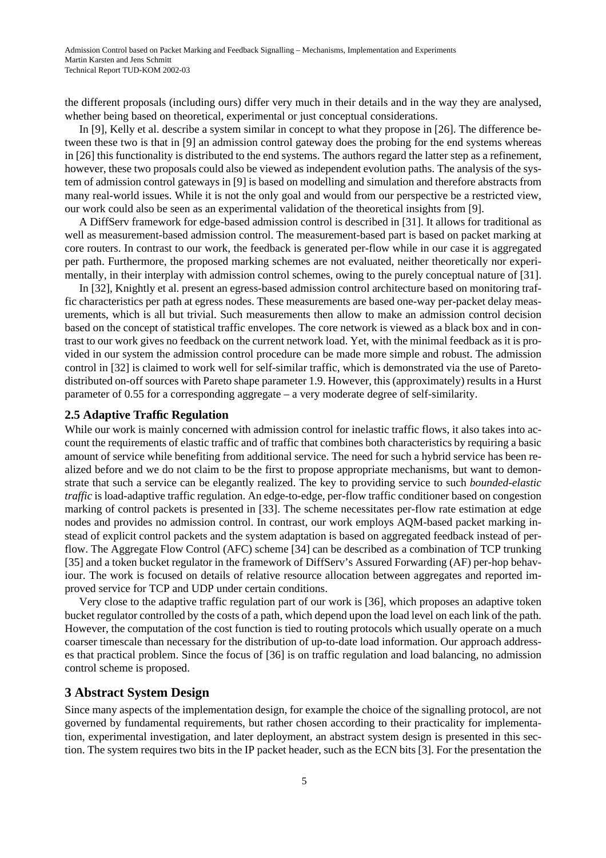the different proposals (including ours) differ very much in their details and in the way they are analysed, whether being based on theoretical, experimental or just conceptual considerations.

In [9], Kelly et al. describe a system similar in concept to what they propose in [26]. The difference between these two is that in [9] an admission control gateway does the probing for the end systems whereas in [26] this functionality is distributed to the end systems. The authors regard the latter step as a refinement, however, these two proposals could also be viewed as independent evolution paths. The analysis of the system of admission control gateways in [9] is based on modelling and simulation and therefore abstracts from many real-world issues. While it is not the only goal and would from our perspective be a restricted view, our work could also be seen as an experimental validation of the theoretical insights from [9].

A DiffServ framework for edge-based admission control is described in [31]. It allows for traditional as well as measurement-based admission control. The measurement-based part is based on packet marking at core routers. In contrast to our work, the feedback is generated per-flow while in our case it is aggregated per path. Furthermore, the proposed marking schemes are not evaluated, neither theoretically nor experimentally, in their interplay with admission control schemes, owing to the purely conceptual nature of [31].

In [32], Knightly et al. present an egress-based admission control architecture based on monitoring traffic characteristics per path at egress nodes. These measurements are based one-way per-packet delay measurements, which is all but trivial. Such measurements then allow to make an admission control decision based on the concept of statistical traffic envelopes. The core network is viewed as a black box and in contrast to our work gives no feedback on the current network load. Yet, with the minimal feedback as it is provided in our system the admission control procedure can be made more simple and robust. The admission control in [32] is claimed to work well for self-similar traffic, which is demonstrated via the use of Paretodistributed on-off sources with Pareto shape parameter 1.9. However, this (approximately) results in a Hurst parameter of 0.55 for a corresponding aggregate – a very moderate degree of self-similarity.

#### **2.5 Adaptive Traffic Regulation**

While our work is mainly concerned with admission control for inelastic traffic flows, it also takes into account the requirements of elastic traffic and of traffic that combines both characteristics by requiring a basic amount of service while benefiting from additional service. The need for such a hybrid service has been realized before and we do not claim to be the first to propose appropriate mechanisms, but want to demonstrate that such a service can be elegantly realized. The key to providing service to such *bounded-elastic traffic* is load-adaptive traffic regulation. An edge-to-edge, per-flow traffic conditioner based on congestion marking of control packets is presented in [33]. The scheme necessitates per-flow rate estimation at edge nodes and provides no admission control. In contrast, our work employs AQM-based packet marking instead of explicit control packets and the system adaptation is based on aggregated feedback instead of perflow. The Aggregate Flow Control (AFC) scheme [34] can be described as a combination of TCP trunking [35] and a token bucket regulator in the framework of DiffServ's Assured Forwarding (AF) per-hop behaviour. The work is focused on details of relative resource allocation between aggregates and reported improved service for TCP and UDP under certain conditions.

Very close to the adaptive traffic regulation part of our work is [36], which proposes an adaptive token bucket regulator controlled by the costs of a path, which depend upon the load level on each link of the path. However, the computation of the cost function is tied to routing protocols which usually operate on a much coarser timescale than necessary for the distribution of up-to-date load information. Our approach addresses that practical problem. Since the focus of [36] is on traffic regulation and load balancing, no admission control scheme is proposed.

#### **3 Abstract System Design**

Since many aspects of the implementation design, for example the choice of the signalling protocol, are not governed by fundamental requirements, but rather chosen according to their practicality for implementation, experimental investigation, and later deployment, an abstract system design is presented in this section. The system requires two bits in the IP packet header, such as the ECN bits [3]. For the presentation the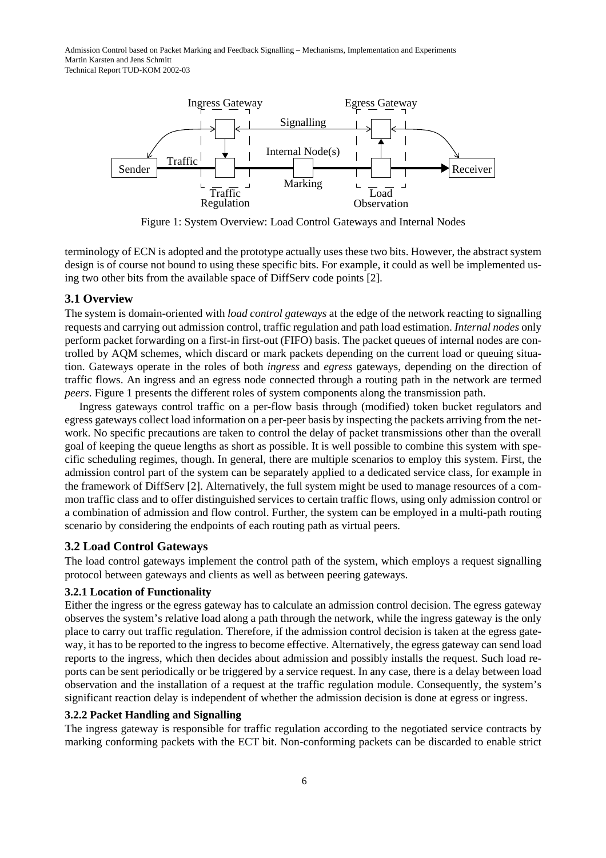<span id="page-5-0"></span>

Figure 1: System Overview: Load Control Gateways and Internal Nodes

terminology of ECN is adopted and the prototype actually uses these two bits. However, the abstract system design is of course not bound to using these specific bits. For example, it could as well be implemented using two other bits from the available space of DiffServ code points [2].

# **3.1 Overview**

The system is domain-oriented with *load control gateways* at the edge of the network reacting to signalling requests and carrying out admission control, traffic regulation and path load estimation. *Internal nodes* only perform packet forwarding on a first-in first-out (FIFO) basis. The packet queues of internal nodes are controlled by AQM schemes, which discard or mark packets depending on the current load or queuing situation. Gateways operate in the roles of both *ingress* and *egress* gateways, depending on the direction of traffic flows. An ingress and an egress node connected through a routing path in the network are termed *peers*. Figure 1 presents the different roles of system components along the transmission path.

Ingress gateways control traffic on a per-flow basis through (modified) token bucket regulators and egress gateways collect load information on a per-peer basis by inspecting the packets arriving from the network. No specific precautions are taken to control the delay of packet transmissions other than the overall goal of keeping the queue lengths as short as possible. It is well possible to combine this system with specific scheduling regimes, though. In general, there are multiple scenarios to employ this system. First, the admission control part of the system can be separately applied to a dedicated service class, for example in the framework of DiffServ [2]. Alternatively, the full system might be used to manage resources of a common traffic class and to offer distinguished services to certain traffic flows, using only admission control or a combination of admission and flow control. Further, the system can be employed in a multi-path routing scenario by considering the endpoints of each routing path as virtual peers.

### **3.2 Load Control Gateways**

The load control gateways implement the control path of the system, which employs a request signalling protocol between gateways and clients as well as between peering gateways.

### **3.2.1 Location of Functionality**

Either the ingress or the egress gateway has to calculate an admission control decision. The egress gateway observes the system's relative load along a path through the network, while the ingress gateway is the only place to carry out traffic regulation. Therefore, if the admission control decision is taken at the egress gateway, it has to be reported to the ingress to become effective. Alternatively, the egress gateway can send load reports to the ingress, which then decides about admission and possibly installs the request. Such load reports can be sent periodically or be triggered by a service request. In any case, there is a delay between load observation and the installation of a request at the traffic regulation module. Consequently, the system's significant reaction delay is independent of whether the admission decision is done at egress or ingress.

### **3.2.2 Packet Handling and Signalling**

The ingress gateway is responsible for traffic regulation according to the negotiated service contracts by marking conforming packets with the ECT bit. Non-conforming packets can be discarded to enable strict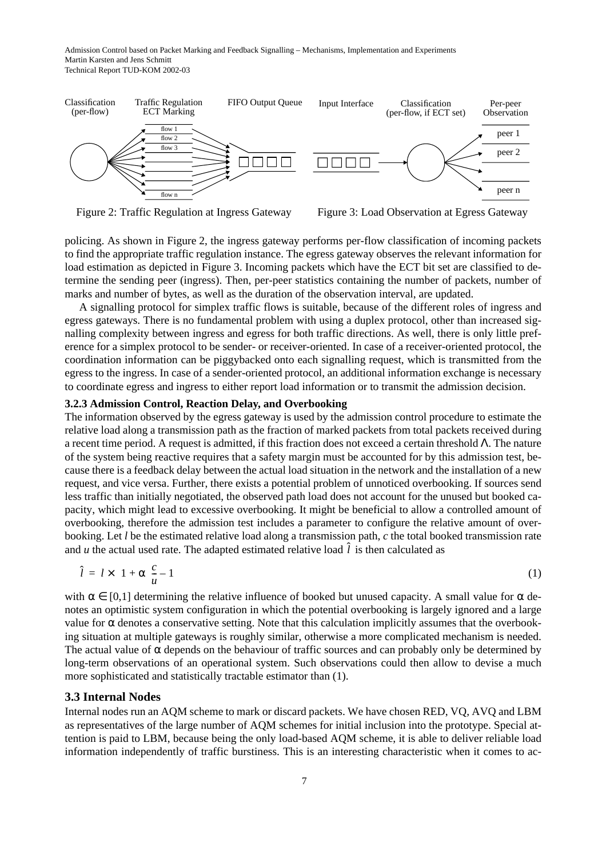<span id="page-6-0"></span>

Figure 2: Traffic Regulation at Ingress Gateway

Figure 3: Load Observation at Egress Gateway

policing. As shown in Figure 2, the ingress gateway performs per-flow classification of incoming packets to find the appropriate traffic regulation instance. The egress gateway observes the relevant information for load estimation as depicted in Figure 3. Incoming packets which have the ECT bit set are classified to determine the sending peer (ingress). Then, per-peer statistics containing the number of packets, number of marks and number of bytes, as well as the duration of the observation interval, are updated.

A signalling protocol for simplex traffic flows is suitable, because of the different roles of ingress and egress gateways. There is no fundamental problem with using a duplex protocol, other than increased signalling complexity between ingress and egress for both traffic directions. As well, there is only little preference for a simplex protocol to be sender- or receiver-oriented. In case of a receiver-oriented protocol, the coordination information can be piggybacked onto each signalling request, which is transmitted from the egress to the ingress. In case of a sender-oriented protocol, an additional information exchange is necessary to coordinate egress and ingress to either report load information or to transmit the admission decision.

#### **3.2.3 Admission Control, Reaction Delay, and Overbooking**

The information observed by the egress gateway is used by the admission control procedure to estimate the relative load along a transmission path as the fraction of marked packets from total packets received during a recent time period. A request is admitted, if this fraction does not exceed a certain threshold  $Λ$ . The nature of the system being reactive requires that a safety margin must be accounted for by this admission test, because there is a feedback delay between the actual load situation in the network and the installation of a new request, and vice versa. Further, there exists a potential problem of unnoticed overbooking. If sources send less traffic than initially negotiated, the observed path load does not account for the unused but booked capacity, which might lead to excessive overbooking. It might be beneficial to allow a controlled amount of overbooking, therefore the admission test includes a parameter to configure the relative amount of overbooking. Let *l* be the estimated relative load along a transmission path, *c* the total booked transmission rate and *u* the actual used rate. The adapted estimated relative load  $\hat{l}$  is then calculated as

$$
\hat{l} = l \times \left(1 + \alpha \left(\frac{c}{u} - 1\right)\right) \tag{1}
$$

with  $\alpha \in [0,1]$  determining the relative influence of booked but unused capacity. A small value for  $\alpha$  denotes an optimistic system configuration in which the potential overbooking is largely ignored and a large value for  $\alpha$  denotes a conservative setting. Note that this calculation implicitly assumes that the overbooking situation at multiple gateways is roughly similar, otherwise a more complicated mechanism is needed. The actual value of  $\alpha$  depends on the behaviour of traffic sources and can probably only be determined by long-term observations of an operational system. Such observations could then allow to devise a much more sophisticated and statistically tractable estimator than (1).

#### **3.3 Internal Nodes**

Internal nodes run an AQM scheme to mark or discard packets. We have chosen RED, VQ, AVQ and LBM as representatives of the large number of AQM schemes for initial inclusion into the prototype. Special attention is paid to LBM, because being the only load-based AQM scheme, it is able to deliver reliable load information independently of traffic burstiness. This is an interesting characteristic when it comes to ac-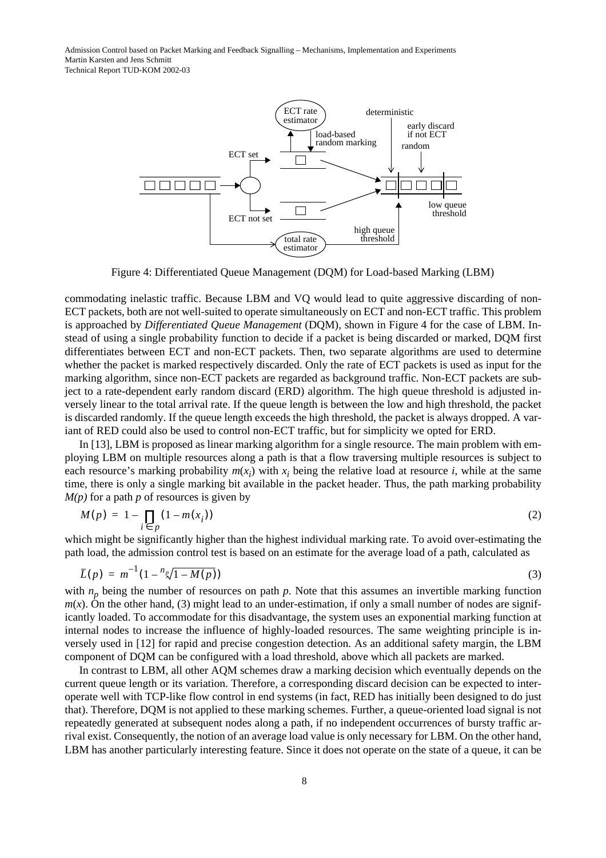<span id="page-7-0"></span>

Figure 4: Differentiated Queue Management (DQM) for Load-based Marking (LBM)

commodating inelastic traffic. Because LBM and VQ would lead to quite aggressive discarding of non-ECT packets, both are not well-suited to operate simultaneously on ECT and non-ECT traffic. This problem is approached by *Differentiated Queue Management* (DQM), shown in Figure 4 for the case of LBM. Instead of using a single probability function to decide if a packet is being discarded or marked, DQM first differentiates between ECT and non-ECT packets. Then, two separate algorithms are used to determine whether the packet is marked respectively discarded. Only the rate of ECT packets is used as input for the marking algorithm, since non-ECT packets are regarded as background traffic. Non-ECT packets are subject to a rate-dependent early random discard (ERD) algorithm. The high queue threshold is adjusted inversely linear to the total arrival rate. If the queue length is between the low and high threshold, the packet is discarded randomly. If the queue length exceeds the high threshold, the packet is always dropped. A variant of RED could also be used to control non-ECT traffic, but for simplicity we opted for ERD.

In [13], LBM is proposed as linear marking algorithm for a single resource. The main problem with employing LBM on multiple resources along a path is that a flow traversing multiple resources is subject to each resource's marking probability  $m(x_i)$  with  $x_i$  being the relative load at resource *i*, while at the same time, there is only a single marking bit available in the packet header. Thus, the path marking probability *M(p)* for a path *p* of resources is given by

$$
M(p) = 1 - \prod_{i \in p} (1 - m(x_i))
$$
 (2)

which might be significantly higher than the highest individual marking rate. To avoid over-estimating the path load, the admission control test is based on an estimate for the average load of a path, calculated as

$$
\bar{L}(p) = m^{-1}(1 - {n_p \sqrt{1 - M(p)}})
$$
\n(3)

with  $n_p$  being the number of resources on path p. Note that this assumes an invertible marking function  $m(x)$ . On the other hand, (3) might lead to an under-estimation, if only a small number of nodes are significantly loaded. To accommodate for this disadvantage, the system uses an exponential marking function at internal nodes to increase the influence of highly-loaded resources. The same weighting principle is inversely used in [12] for rapid and precise congestion detection. As an additional safety margin, the LBM component of DQM can be configured with a load threshold, above which all packets are marked.

In contrast to LBM, all other AQM schemes draw a marking decision which eventually depends on the current queue length or its variation. Therefore, a corresponding discard decision can be expected to interoperate well with TCP-like flow control in end systems (in fact, RED has initially been designed to do just that). Therefore, DQM is not applied to these marking schemes. Further, a queue-oriented load signal is not repeatedly generated at subsequent nodes along a path, if no independent occurrences of bursty traffic arrival exist. Consequently, the notion of an average load value is only necessary for LBM. On the other hand, LBM has another particularly interesting feature. Since it does not operate on the state of a queue, it can be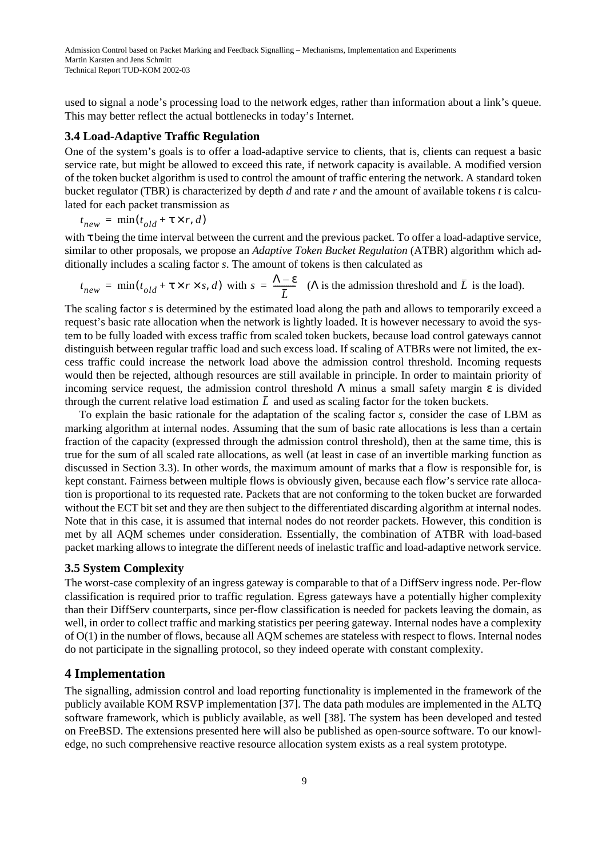<span id="page-8-0"></span>used to signal a node's processing load to the network edges, rather than information about a link's queue. This may better reflect the actual bottlenecks in today's Internet.

# **3.4 Load-Adaptive Traffic Regulation**

One of the system's goals is to offer a load-adaptive service to clients, that is, clients can request a basic service rate, but might be allowed to exceed this rate, if network capacity is available. A modified version of the token bucket algorithm is used to control the amount of traffic entering the network. A standard token bucket regulator (TBR) is characterized by depth *d* and rate *r* and the amount of available tokens *t* is calculated for each packet transmission as

$$
t_{new} = \min(t_{old} + \tau \times r, d)
$$

with  $\tau$  being the time interval between the current and the previous packet. To offer a load-adaptive service, similar to other proposals, we propose an *Adaptive Token Bucket Regulation* (ATBR) algorithm which additionally includes a scaling factor *s*. The amount of tokens is then calculated as

$$
t_{new} = \min(t_{old} + \tau \times r \times s, d)
$$
 with  $s = \frac{\Lambda - \varepsilon}{\bar{L}}$  ( $\Lambda$  is the admission threshold and  $\bar{L}$  is the load).

The scaling factor *s* is determined by the estimated load along the path and allows to temporarily exceed a request's basic rate allocation when the network is lightly loaded. It is however necessary to avoid the system to be fully loaded with excess traffic from scaled token buckets, because load control gateways cannot distinguish between regular traffic load and such excess load. If scaling of ATBRs were not limited, the excess traffic could increase the network load above the admission control threshold. Incoming requests would then be rejected, although resources are still available in principle. In order to maintain priority of incoming service request, the admission control threshold  $\Lambda$  minus a small safety margin  $\varepsilon$  is divided through the current relative load estimation  $\bar{L}$  and used as scaling factor for the token buckets.

To explain the basic rationale for the adaptation of the scaling factor *s*, consider the case of LBM as marking algorithm at internal nodes. Assuming that the sum of basic rate allocations is less than a certain fraction of the capacity (expressed through the admission control threshold), then at the same time, this is true for the sum of all scaled rate allocations, as well (at least in case of an invertible marking function as discussed in [Section 3.3\)](#page-6-0). In other words, the maximum amount of marks that a flow is responsible for, is kept constant. Fairness between multiple flows is obviously given, because each flow's service rate allocation is proportional to its requested rate. Packets that are not conforming to the token bucket are forwarded without the ECT bit set and they are then subject to the differentiated discarding algorithm at internal nodes. Note that in this case, it is assumed that internal nodes do not reorder packets. However, this condition is met by all AQM schemes under consideration. Essentially, the combination of ATBR with load-based packet marking allows to integrate the different needs of inelastic traffic and load-adaptive network service.

# **3.5 System Complexity**

The worst-case complexity of an ingress gateway is comparable to that of a DiffServ ingress node. Per-flow classification is required prior to traffic regulation. Egress gateways have a potentially higher complexity than their DiffServ counterparts, since per-flow classification is needed for packets leaving the domain, as well, in order to collect traffic and marking statistics per peering gateway. Internal nodes have a complexity of O(1) in the number of flows, because all AQM schemes are stateless with respect to flows. Internal nodes do not participate in the signalling protocol, so they indeed operate with constant complexity.

# **4 Implementation**

The signalling, admission control and load reporting functionality is implemented in the framework of the publicly available KOM RSVP implementation [37]. The data path modules are implemented in the ALTQ software framework, which is publicly available, as well [38]. The system has been developed and tested on FreeBSD. The extensions presented here will also be published as open-source software. To our knowledge, no such comprehensive reactive resource allocation system exists as a real system prototype.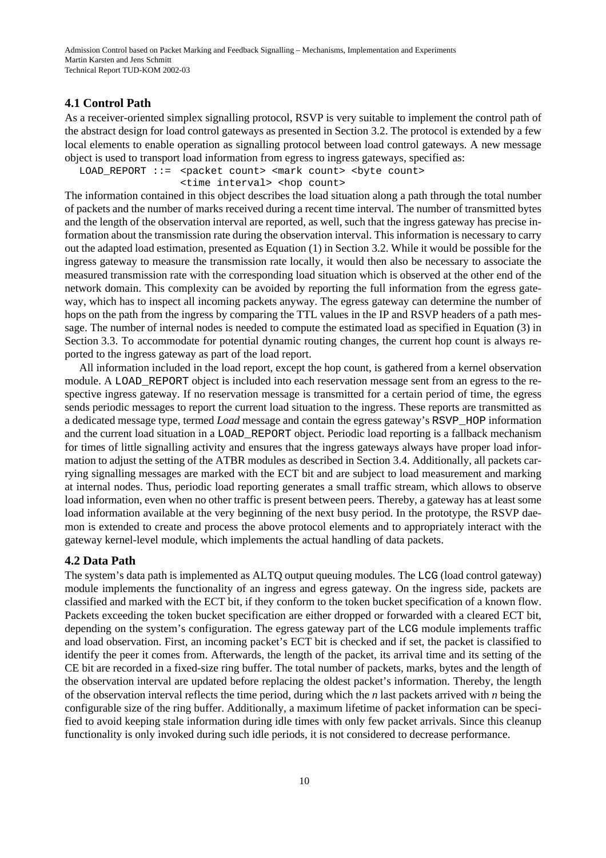# **4.1 Control Path**

As a receiver-oriented simplex signalling protocol, RSVP is very suitable to implement the control path of the abstract design for load control gateways as presented in [Section 3.2](#page-5-0). The protocol is extended by a few local elements to enable operation as signalling protocol between load control gateways. A new message object is used to transport load information from egress to ingress gateways, specified as:

LOAD\_REPORT ::= <packet count> <mark count> <byte count>

<time interval> <hop count>

The information contained in this object describes the load situation along a path through the total number of packets and the number of marks received during a recent time interval. The number of transmitted bytes and the length of the observation interval are reported, as well, such that the ingress gateway has precise information about the transmission rate during the observation interval. This information is necessary to carry out the adapted load estimation, presented as Equation [\(1\)](#page-6-0) in [Section 3.2.](#page-5-0) While it would be possible for the ingress gateway to measure the transmission rate locally, it would then also be necessary to associate the measured transmission rate with the corresponding load situation which is observed at the other end of the network domain. This complexity can be avoided by reporting the full information from the egress gateway, which has to inspect all incoming packets anyway. The egress gateway can determine the number of hops on the path from the ingress by comparing the TTL values in the IP and RSVP headers of a path message. The number of internal nodes is needed to compute the estimated load as specified in Equation [\(3\)](#page-7-0) in [Section 3.3.](#page-6-0) To accommodate for potential dynamic routing changes, the current hop count is always reported to the ingress gateway as part of the load report.

All information included in the load report, except the hop count, is gathered from a kernel observation module. A LOAD\_REPORT object is included into each reservation message sent from an egress to the respective ingress gateway. If no reservation message is transmitted for a certain period of time, the egress sends periodic messages to report the current load situation to the ingress. These reports are transmitted as a dedicated message type, termed *Load* message and contain the egress gateway's RSVP\_HOP information and the current load situation in a LOAD\_REPORT object. Periodic load reporting is a fallback mechanism for times of little signalling activity and ensures that the ingress gateways always have proper load information to adjust the setting of the ATBR modules as described in [Section 3.4.](#page-8-0) Additionally, all packets carrying signalling messages are marked with the ECT bit and are subject to load measurement and marking at internal nodes. Thus, periodic load reporting generates a small traffic stream, which allows to observe load information, even when no other traffic is present between peers. Thereby, a gateway has at least some load information available at the very beginning of the next busy period. In the prototype, the RSVP daemon is extended to create and process the above protocol elements and to appropriately interact with the gateway kernel-level module, which implements the actual handling of data packets.

### **4.2 Data Path**

The system's data path is implemented as ALTQ output queuing modules. The LCG (load control gateway) module implements the functionality of an ingress and egress gateway. On the ingress side, packets are classified and marked with the ECT bit, if they conform to the token bucket specification of a known flow. Packets exceeding the token bucket specification are either dropped or forwarded with a cleared ECT bit, depending on the system's configuration. The egress gateway part of the LCG module implements traffic and load observation. First, an incoming packet's ECT bit is checked and if set, the packet is classified to identify the peer it comes from. Afterwards, the length of the packet, its arrival time and its setting of the CE bit are recorded in a fixed-size ring buffer. The total number of packets, marks, bytes and the length of the observation interval are updated before replacing the oldest packet's information. Thereby, the length of the observation interval reflects the time period, during which the *n* last packets arrived with *n* being the configurable size of the ring buffer. Additionally, a maximum lifetime of packet information can be specified to avoid keeping stale information during idle times with only few packet arrivals. Since this cleanup functionality is only invoked during such idle periods, it is not considered to decrease performance.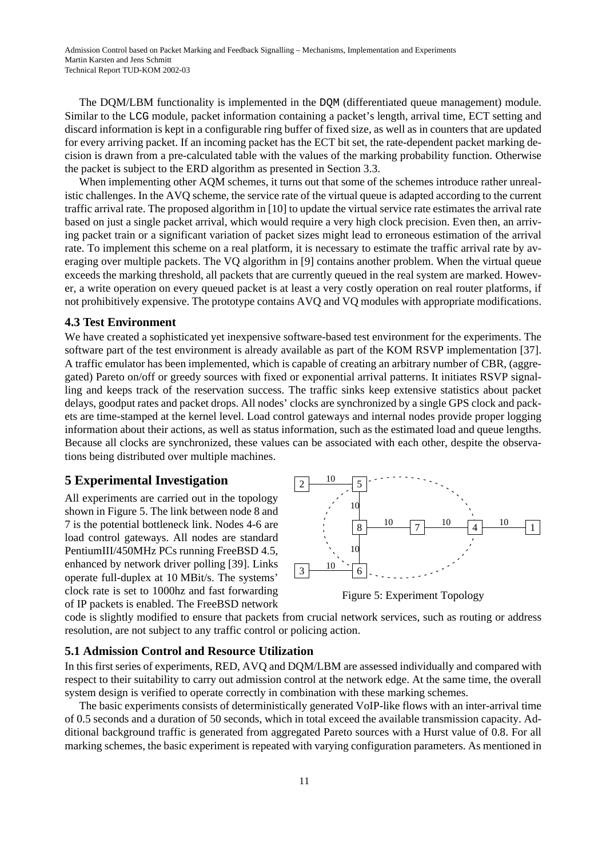<span id="page-10-0"></span>The DQM/LBM functionality is implemented in the DQM (differentiated queue management) module. Similar to the LCG module, packet information containing a packet's length, arrival time, ECT setting and discard information is kept in a configurable ring buffer of fixed size, as well as in counters that are updated for every arriving packet. If an incoming packet has the ECT bit set, the rate-dependent packet marking decision is drawn from a pre-calculated table with the values of the marking probability function. Otherwise the packet is subject to the ERD algorithm as presented in S[ection 3.3.](#page-6-0)

When implementing other AQM schemes, it turns out that some of the schemes introduce rather unrealistic challenges. In the AVQ scheme, the service rate of the virtual queue is adapted according to the current traffic arrival rate. The proposed algorithm in [10] to update the virtual service rate estimates the arrival rate based on just a single packet arrival, which would require a very high clock precision. Even then, an arriving packet train or a significant variation of packet sizes might lead to erroneous estimation of the arrival rate. To implement this scheme on a real platform, it is necessary to estimate the traffic arrival rate by averaging over multiple packets. The VQ algorithm in [9] contains another problem. When the virtual queue exceeds the marking threshold, all packets that are currently queued in the real system are marked. However, a write operation on every queued packet is at least a very costly operation on real router platforms, if not prohibitively expensive. The prototype contains AVQ and VQ modules with appropriate modifications.

#### **4.3 Test Environment**

We have created a sophisticated yet inexpensive software-based test environment for the experiments. The software part of the test environment is already available as part of the KOM RSVP implementation [37]. A traffic emulator has been implemented, which is capable of creating an arbitrary number of CBR, (aggregated) Pareto on/off or greedy sources with fixed or exponential arrival patterns. It initiates RSVP signalling and keeps track of the reservation success. The traffic sinks keep extensive statistics about packet delays, goodput rates and packet drops. All nodes' clocks are synchronized by a single GPS clock and packets are time-stamped at the kernel level. Load control gateways and internal nodes provide proper logging information about their actions, as well as status information, such as the estimated load and queue lengths. Because all clocks are synchronized, these values can be associated with each other, despite the observations being distributed over multiple machines.

#### **5 Experimental Investigation**

All experiments are carried out in the topology shown in Figure 5. The link between node 8 and 7 is the potential bottleneck link. Nodes 4-6 are load control gateways. All nodes are standard PentiumIII/450MHz PCs running FreeBSD 4.5, enhanced by network driver polling [39]. Links operate full-duplex at 10 MBit/s. The systems' clock rate is set to 1000hz and fast forwarding of IP packets is enabled. The FreeBSD network



Figure 5: Experiment Topology

code is slightly modified to ensure that packets from crucial network services, such as routing or address resolution, are not subject to any traffic control or policing action.

#### **5.1 Admission Control and Resource Utilization**

In this first series of experiments, RED, AVQ and DQM/LBM are assessed individually and compared with respect to their suitability to carry out admission control at the network edge. At the same time, the overall system design is verified to operate correctly in combination with these marking schemes.

The basic experiments consists of deterministically generated VoIP-like flows with an inter-arrival time of 0.5 seconds and a duration of 50 seconds, which in total exceed the available transmission capacity. Additional background traffic is generated from aggregated Pareto sources with a Hurst value of 0.8. For all marking schemes, the basic experiment is repeated with varying configuration parameters. As mentioned in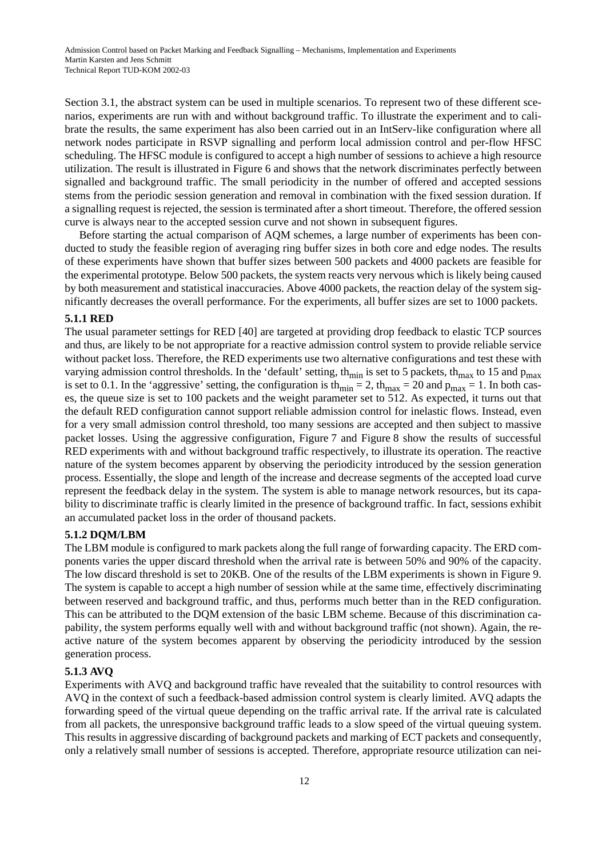[Section 3.1,](#page-5-0) the abstract system can be used in multiple scenarios. To represent two of these different scenarios, experiments are run with and without background traffic. To illustrate the experiment and to calibrate the results, the same experiment has also been carried out in an IntServ-like configuration where all network nodes participate in RSVP signalling and perform local admission control and per-flow HFSC scheduling. The HFSC module is configured to accept a high number of sessions to achieve a high resource utilization. The result is illustrated in [Figure 6](#page-12-0) and shows that the network discriminates perfectly between signalled and background traffic. The small periodicity in the number of offered and accepted sessions stems from the periodic session generation and removal in combination with the fixed session duration. If a signalling request is rejected, the session is terminated after a short timeout. Therefore, the offered session curve is always near to the accepted session curve and not shown in subsequent figures.

Before starting the actual comparison of AQM schemes, a large number of experiments has been conducted to study the feasible region of averaging ring buffer sizes in both core and edge nodes. The results of these experiments have shown that buffer sizes between 500 packets and 4000 packets are feasible for the experimental prototype. Below 500 packets, the system reacts very nervous which is likely being caused by both measurement and statistical inaccuracies. Above 4000 packets, the reaction delay of the system significantly decreases the overall performance. For the experiments, all buffer sizes are set to 1000 packets.

#### **5.1.1 RED**

The usual parameter settings for RED [40] are targeted at providing drop feedback to elastic TCP sources and thus, are likely to be not appropriate for a reactive admission control system to provide reliable service without packet loss. Therefore, the RED experiments use two alternative configurations and test these with varying admission control thresholds. In the 'default' setting, th<sub>min</sub> is set to 5 packets, th<sub>max</sub> to 15 and  $p_{max}$ is set to 0.1. In the 'aggressive' setting, the configuration is th<sub>min</sub> = 2, th<sub>max</sub> = 20 and p<sub>max</sub> = 1. In both cases, the queue size is set to 100 packets and the weight parameter set to 512. As expected, it turns out that the default RED configuration cannot support reliable admission control for inelastic flows. Instead, even for a very small admission control threshold, too many sessions are accepted and then subject to massive packet losses. Using the aggressive configuration, [Figure 7](#page-12-0) and [Figure 8](#page-12-0) show the results of successful RED experiments with and without background traffic respectively, to illustrate its operation. The reactive nature of the system becomes apparent by observing the periodicity introduced by the session generation process. Essentially, the slope and length of the increase and decrease segments of the accepted load curve represent the feedback delay in the system. The system is able to manage network resources, but its capability to discriminate traffic is clearly limited in the presence of background traffic. In fact, sessions exhibit an accumulated packet loss in the order of thousand packets.

### **5.1.2 DQM/LBM**

The LBM module is configured to mark packets along the full range of forwarding capacity. The ERD components varies the upper discard threshold when the arrival rate is between 50% and 90% of the capacity. The low discard threshold is set to 20KB. One of the results of the LBM experiments is shown in [Figure 9](#page-12-0). The system is capable to accept a high number of session while at the same time, effectively discriminating between reserved and background traffic, and thus, performs much better than in the RED configuration. This can be attributed to the DQM extension of the basic LBM scheme. Because of this discrimination capability, the system performs equally well with and without background traffic (not shown). Again, the reactive nature of the system becomes apparent by observing the periodicity introduced by the session generation process.

### **5.1.3 AVQ**

Experiments with AVQ and background traffic have revealed that the suitability to control resources with AVQ in the context of such a feedback-based admission control system is clearly limited. AVQ adapts the forwarding speed of the virtual queue depending on the traffic arrival rate. If the arrival rate is calculated from all packets, the unresponsive background traffic leads to a slow speed of the virtual queuing system. This results in aggressive discarding of background packets and marking of ECT packets and consequently, only a relatively small number of sessions is accepted. Therefore, appropriate resource utilization can nei-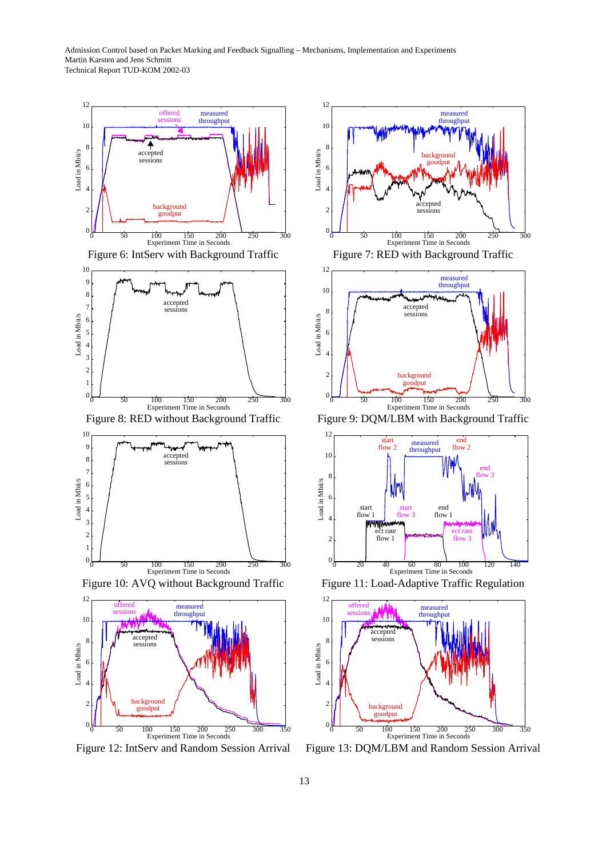<span id="page-12-0"></span>

Figure 12: IntServ and Random Session Arrival



Figure 7: RED with Background Traffic



Figure 9: DQM/LBM with Background Traffic



Figure 11: Load-Adaptive Traffic Regulation



Figure 13: DQM/LBM and Random Session Arrival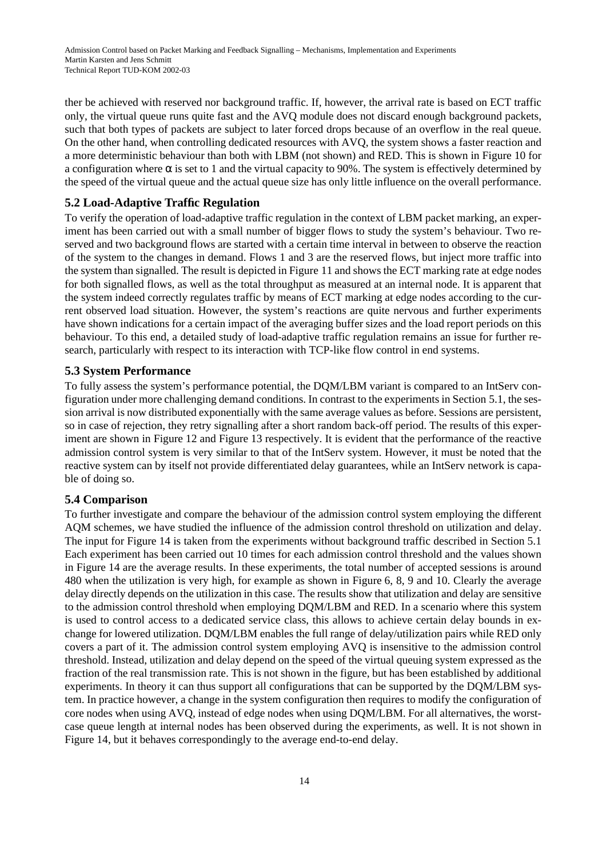ther be achieved with reserved nor background traffic. If, however, the arrival rate is based on ECT traffic only, the virtual queue runs quite fast and the AVQ module does not discard enough background packets, such that both types of packets are subject to later forced drops because of an overflow in the real queue. On the other hand, when controlling dedicated resources with AVQ, the system shows a faster reaction and a more deterministic behaviour than both with LBM (not shown) and RED. This is shown in [Figure 10](#page-12-0) for a configuration where  $\alpha$  is set to 1 and the virtual capacity to 90%. The system is effectively determined by the speed of the virtual queue and the actual queue size has only little influence on the overall performance.

# **5.2 Load-Adaptive Traffic Regulation**

To verify the operation of load-adaptive traffic regulation in the context of LBM packet marking, an experiment has been carried out with a small number of bigger flows to study the system's behaviour. Two reserved and two background flows are started with a certain time interval in between to observe the reaction of the system to the changes in demand. Flows 1 and 3 are the reserved flows, but inject more traffic into the system than signalled. The result is depicted in [Figure 11](#page-12-0) and shows the ECT marking rate at edge nodes for both signalled flows, as well as the total throughput as measured at an internal node. It is apparent that the system indeed correctly regulates traffic by means of ECT marking at edge nodes according to the current observed load situation. However, the system's reactions are quite nervous and further experiments have shown indications for a certain impact of the averaging buffer sizes and the load report periods on this behaviour. To this end, a detailed study of load-adaptive traffic regulation remains an issue for further research, particularly with respect to its interaction with TCP-like flow control in end systems.

# **5.3 System Performance**

To fully assess the system's performance potential, the DQM/LBM variant is compared to an IntServ configuration under more challenging demand conditions. In contrast to the experiments in [Section 5.1,](#page-10-0) the session arrival is now distributed exponentially with the same average values as before. Sessions are persistent, so in case of rejection, they retry signalling after a short random back-off period. The results of this experiment are shown in [Figure 12](#page-12-0) and [Figure 13](#page-12-0) respectively. It is evident that the performance of the reactive admission control system is very similar to that of the IntServ system. However, it must be noted that the reactive system can by itself not provide differentiated delay guarantees, while an IntServ network is capable of doing so.

# **5.4 Comparison**

To further investigate and compare the behaviour of the admission control system employing the different AQM schemes, we have studied the influence of the admission control threshold on utilization and delay. The input for [Figure 14](#page-14-0) is taken from the experiments without background traffic described in [Section 5.1](#page-10-0) Each experiment has been carried out 10 times for each admission control threshold and the values shown in [Figure 14](#page-14-0) are the average results. In these experiments, the total number of accepted sessions is around 480 when the utilization is very high, for example as shown in [Figure 6](#page-12-0), [8, 9](#page-12-0) and [10.](#page-12-0) Clearly the average delay directly depends on the utilization in this case. The results show that utilization and delay are sensitive to the admission control threshold when employing DQM/LBM and RED. In a scenario where this system is used to control access to a dedicated service class, this allows to achieve certain delay bounds in exchange for lowered utilization. DQM/LBM enables the full range of delay/utilization pairs while RED only covers a part of it. The admission control system employing AVQ is insensitive to the admission control threshold. Instead, utilization and delay depend on the speed of the virtual queuing system expressed as the fraction of the real transmission rate. This is not shown in the figure, but has been established by additional experiments. In theory it can thus support all configurations that can be supported by the DQM/LBM system. In practice however, a change in the system configuration then requires to modify the configuration of core nodes when using AVQ, instead of edge nodes when using DQM/LBM. For all alternatives, the worstcase queue length at internal nodes has been observed during the experiments, as well. It is not shown in [Figure 14,](#page-14-0) but it behaves correspondingly to the average end-to-end delay.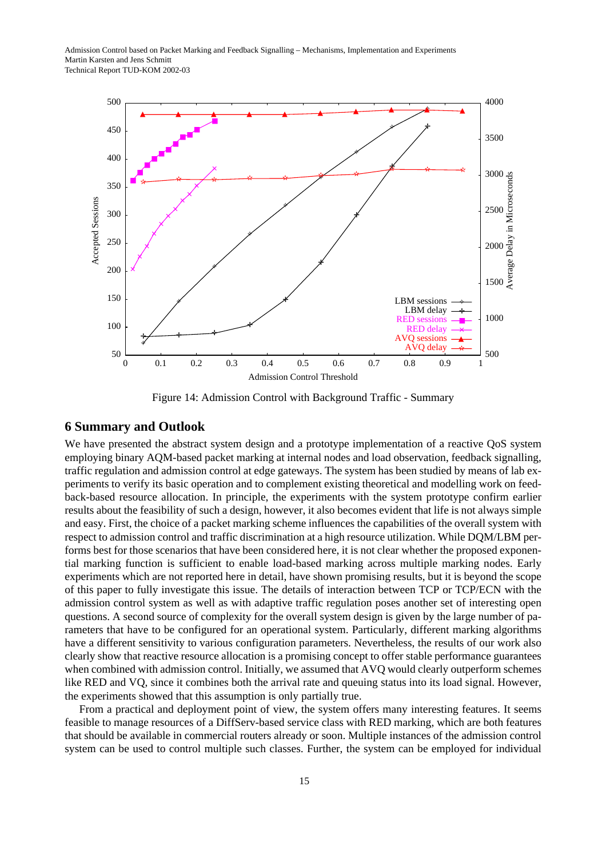<span id="page-14-0"></span>

Figure 14: Admission Control with Background Traffic - Summary

#### **6 Summary and Outlook**

We have presented the abstract system design and a prototype implementation of a reactive QoS system employing binary AQM-based packet marking at internal nodes and load observation, feedback signalling, traffic regulation and admission control at edge gateways. The system has been studied by means of lab experiments to verify its basic operation and to complement existing theoretical and modelling work on feedback-based resource allocation. In principle, the experiments with the system prototype confirm earlier results about the feasibility of such a design, however, it also becomes evident that life is not always simple and easy. First, the choice of a packet marking scheme influences the capabilities of the overall system with respect to admission control and traffic discrimination at a high resource utilization. While DQM/LBM performs best for those scenarios that have been considered here, it is not clear whether the proposed exponential marking function is sufficient to enable load-based marking across multiple marking nodes. Early experiments which are not reported here in detail, have shown promising results, but it is beyond the scope of this paper to fully investigate this issue. The details of interaction between TCP or TCP/ECN with the admission control system as well as with adaptive traffic regulation poses another set of interesting open questions. A second source of complexity for the overall system design is given by the large number of parameters that have to be configured for an operational system. Particularly, different marking algorithms have a different sensitivity to various configuration parameters. Nevertheless, the results of our work also clearly show that reactive resource allocation is a promising concept to offer stable performance guarantees when combined with admission control. Initially, we assumed that AVQ would clearly outperform schemes like RED and VQ, since it combines both the arrival rate and queuing status into its load signal. However, the experiments showed that this assumption is only partially true.

From a practical and deployment point of view, the system offers many interesting features. It seems feasible to manage resources of a DiffServ-based service class with RED marking, which are both features that should be available in commercial routers already or soon. Multiple instances of the admission control system can be used to control multiple such classes. Further, the system can be employed for individual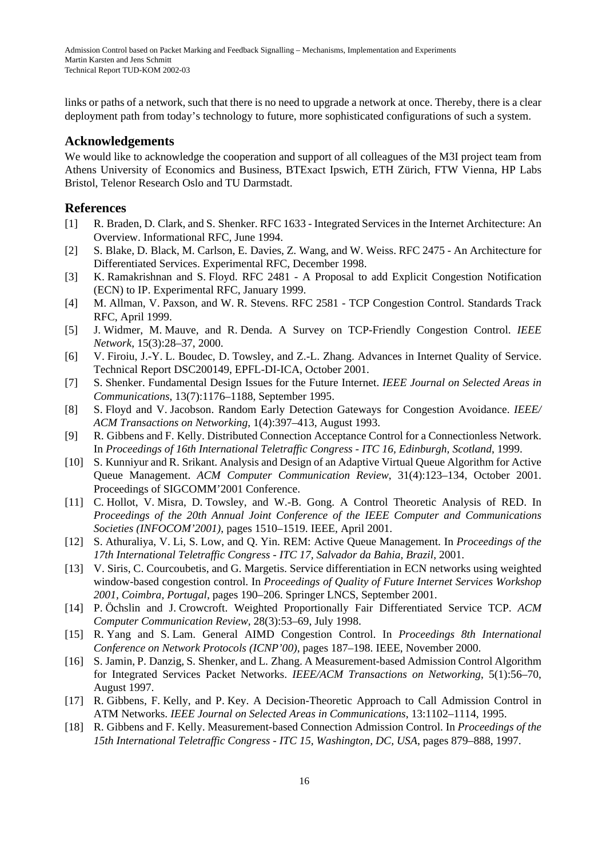links or paths of a network, such that there is no need to upgrade a network at once. Thereby, there is a clear deployment path from today's technology to future, more sophisticated configurations of such a system.

# **Acknowledgements**

We would like to acknowledge the cooperation and support of all colleagues of the M3I project team from Athens University of Economics and Business, BTExact Ipswich, ETH Zürich, FTW Vienna, HP Labs Bristol, Telenor Research Oslo and TU Darmstadt.

# **References**

- [1] R. Braden, D. Clark, and S. Shenker. RFC 1633 Integrated Services in the Internet Architecture: An Overview. Informational RFC, June 1994.
- [2] S. Blake, D. Black, M. Carlson, E. Davies, Z. Wang, and W. Weiss. RFC 2475 An Architecture for Differentiated Services. Experimental RFC, December 1998.
- [3] K. Ramakrishnan and S. Floyd. RFC 2481 A Proposal to add Explicit Congestion Notification (ECN) to IP. Experimental RFC, January 1999.
- [4] M. Allman, V. Paxson, and W. R. Stevens. RFC 2581 TCP Congestion Control. Standards Track RFC, April 1999.
- [5] J. Widmer, M. Mauve, and R. Denda. A Survey on TCP-Friendly Congestion Control. *IEEE Network*, 15(3):28–37, 2000.
- [6] V. Firoiu, J.-Y. L. Boudec, D. Towsley, and Z.-L. Zhang. Advances in Internet Quality of Service. Technical Report DSC200149, EPFL-DI-ICA, October 2001.
- [7] S. Shenker. Fundamental Design Issues for the Future Internet. *IEEE Journal on Selected Areas in Communications*, 13(7):1176–1188, September 1995.
- [8] S. Floyd and V. Jacobson. Random Early Detection Gateways for Congestion Avoidance. *IEEE/ ACM Transactions on Networking*, 1(4):397–413, August 1993.
- [9] R. Gibbens and F. Kelly. Distributed Connection Acceptance Control for a Connectionless Network. In *Proceedings of 16th International Teletraffic Congress - ITC 16, Edinburgh, Scotland*, 1999.
- [10] S. Kunniyur and R. Srikant. Analysis and Design of an Adaptive Virtual Queue Algorithm for Active Queue Management. *ACM Computer Communication Review*, 31(4):123–134, October 2001. Proceedings of SIGCOMM'2001 Conference.
- [11] C. Hollot, V. Misra, D. Towsley, and W.-B. Gong. A Control Theoretic Analysis of RED. In *Proceedings of the 20th Annual Joint Conference of the IEEE Computer and Communications Societies (INFOCOM'2001)*, pages 1510–1519. IEEE, April 2001.
- [12] S. Athuraliya, V. Li, S. Low, and Q. Yin. REM: Active Queue Management. In *Proceedings of the 17th International Teletraffic Congress - ITC 17, Salvador da Bahia, Brazil*, 2001.
- [13] V. Siris, C. Courcoubetis, and G. Margetis. Service differentiation in ECN networks using weighted window-based congestion control. In *Proceedings of Quality of Future Internet Services Workshop 2001, Coimbra, Portugal*, pages 190–206. Springer LNCS, September 2001.
- [14] P. Öchslin and J. Crowcroft. Weighted Proportionally Fair Differentiated Service TCP. *ACM Computer Communication Review*, 28(3):53–69, July 1998.
- [15] R. Yang and S. Lam. General AIMD Congestion Control. In *Proceedings 8th International Conference on Network Protocols (ICNP'00)*, pages 187–198. IEEE, November 2000.
- [16] S. Jamin, P. Danzig, S. Shenker, and L. Zhang. A Measurement-based Admission Control Algorithm for Integrated Services Packet Networks. *IEEE/ACM Transactions on Networking*, 5(1):56–70, August 1997.
- [17] R. Gibbens, F. Kelly, and P. Key. A Decision-Theoretic Approach to Call Admission Control in ATM Networks. *IEEE Journal on Selected Areas in Communications*, 13:1102–1114, 1995.
- [18] R. Gibbens and F. Kelly. Measurement-based Connection Admission Control. In *Proceedings of the 15th International Teletraffic Congress - ITC 15, Washington, DC, USA*, pages 879–888, 1997.